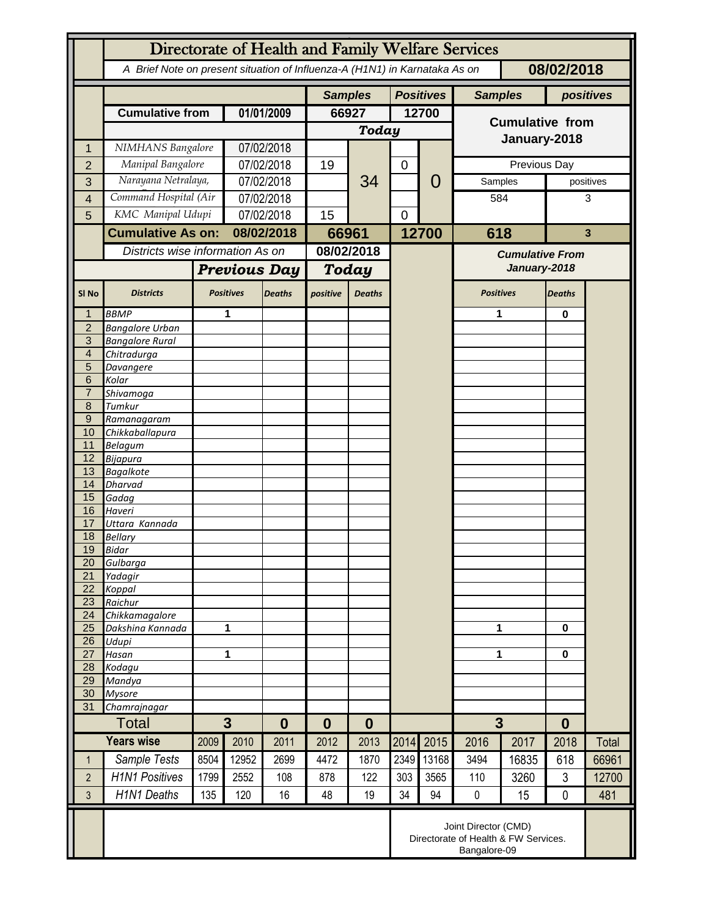|                     | Directorate of Health and Family Welfare Services                                        |                     |                          |               |              |                                    |                  |       |                                        |              |               |           |
|---------------------|------------------------------------------------------------------------------------------|---------------------|--------------------------|---------------|--------------|------------------------------------|------------------|-------|----------------------------------------|--------------|---------------|-----------|
|                     | A Brief Note on present situation of Influenza-A (H1N1) in Karnataka As on<br>08/02/2018 |                     |                          |               |              |                                    |                  |       |                                        |              |               |           |
|                     |                                                                                          |                     |                          |               |              | <b>Positives</b><br><b>Samples</b> |                  |       | <b>Samples</b>                         |              |               | positives |
|                     | <b>Cumulative from</b>                                                                   |                     | 01/01/2009               |               | 66927        |                                    | 12700            |       |                                        |              |               |           |
|                     |                                                                                          |                     |                          |               | <b>Today</b> |                                    |                  |       | <b>Cumulative from</b>                 |              |               |           |
| 1                   | NIMHANS Bangalore                                                                        |                     | 07/02/2018               |               |              |                                    |                  |       | January-2018                           |              |               |           |
| $\overline{2}$      | Manipal Bangalore                                                                        |                     | 07/02/2018               |               | 19           |                                    | $\boldsymbol{0}$ | 0     |                                        | Previous Day |               |           |
| 3                   | Narayana Netralaya,                                                                      |                     | 07/02/2018               |               |              | 34                                 |                  |       | Samples                                |              |               | positives |
| 4                   | Command Hospital (Air                                                                    |                     | 07/02/2018               |               |              |                                    |                  |       | 584                                    |              | 3             |           |
| 5                   | KMC Manipal Udupi                                                                        |                     | 07/02/2018               |               | 15           |                                    | 0                |       |                                        |              |               |           |
|                     | <b>Cumulative As on:</b>                                                                 |                     | 08/02/2018               |               |              | 66961                              |                  | 12700 | 618                                    |              | 3             |           |
|                     | Districts wise information As on                                                         |                     |                          |               | 08/02/2018   |                                    |                  |       | <b>Cumulative From</b><br>January-2018 |              |               |           |
|                     |                                                                                          | <b>Previous Day</b> |                          | Today         |              |                                    |                  |       |                                        |              |               |           |
|                     |                                                                                          |                     |                          |               |              |                                    |                  |       |                                        |              |               |           |
| SI <sub>No</sub>    | <b>Districts</b>                                                                         |                     | <b>Positives</b>         | <b>Deaths</b> | positive     | <b>Deaths</b>                      |                  |       | <b>Positives</b>                       |              | <b>Deaths</b> |           |
| 1                   | <b>BBMP</b>                                                                              |                     | 1                        |               |              |                                    |                  |       | 1                                      |              | 0             |           |
| $\overline{2}$<br>3 | <b>Bangalore Urban</b><br><b>Bangalore Rural</b>                                         |                     |                          |               |              |                                    |                  |       |                                        |              |               |           |
| $\overline{4}$      | Chitradurga                                                                              |                     |                          |               |              |                                    |                  |       |                                        |              |               |           |
| 5                   | Davangere                                                                                |                     |                          |               |              |                                    |                  |       |                                        |              |               |           |
| 6                   | Kolar                                                                                    |                     |                          |               |              |                                    |                  |       |                                        |              |               |           |
| $\overline{7}$<br>8 | Shivamoga<br>Tumkur                                                                      |                     |                          |               |              |                                    |                  |       |                                        |              |               |           |
| $9\,$               | Ramanagaram                                                                              |                     |                          |               |              |                                    |                  |       |                                        |              |               |           |
| 10                  | Chikkaballapura                                                                          |                     |                          |               |              |                                    |                  |       |                                        |              |               |           |
| 11                  | <b>Belagum</b>                                                                           |                     |                          |               |              |                                    |                  |       |                                        |              |               |           |
| 12                  | Bijapura                                                                                 |                     |                          |               |              |                                    |                  |       |                                        |              |               |           |
| 13<br>14            | <b>Bagalkote</b><br>Dharvad                                                              |                     |                          |               |              |                                    |                  |       |                                        |              |               |           |
| 15                  | Gadag                                                                                    |                     |                          |               |              |                                    |                  |       |                                        |              |               |           |
| 16                  | Haveri                                                                                   |                     |                          |               |              |                                    |                  |       |                                        |              |               |           |
| 17                  | Uttara Kannada                                                                           |                     |                          |               |              |                                    |                  |       |                                        |              |               |           |
| 18<br>19            | <b>Bellary</b>                                                                           |                     |                          |               |              |                                    |                  |       |                                        |              |               |           |
| 20                  | <b>Bidar</b><br>Gulbarga                                                                 |                     |                          |               |              |                                    |                  |       |                                        |              |               |           |
| 21                  | Yadagir                                                                                  |                     |                          |               |              |                                    |                  |       |                                        |              |               |           |
| 22                  | Koppal                                                                                   |                     |                          |               |              |                                    |                  |       |                                        |              |               |           |
| 23                  | Raichur                                                                                  |                     |                          |               |              |                                    |                  |       |                                        |              |               |           |
| 24<br>25            | Chikkamagalore<br>Dakshina Kannada                                                       | 1                   |                          |               |              |                                    |                  |       | 1                                      |              | 0             |           |
| 26                  | Udupi                                                                                    |                     |                          |               |              |                                    |                  |       |                                        |              |               |           |
| 27                  | Hasan                                                                                    | 1                   |                          |               |              |                                    |                  |       | 1                                      |              | 0             |           |
| 28                  | Kodagu                                                                                   |                     |                          |               |              |                                    |                  |       |                                        |              |               |           |
| 29<br>30            | Mandya<br><b>Mysore</b>                                                                  |                     |                          |               |              |                                    |                  |       |                                        |              |               |           |
| 31                  | Chamrajnagar                                                                             |                     |                          |               |              |                                    |                  |       |                                        |              |               |           |
|                     | <b>Total</b>                                                                             |                     | $\mathbf{3}$<br>$\bf{0}$ |               | $\bf{0}$     | $\bf{0}$                           |                  |       | 3                                      |              | $\bf{0}$      |           |
|                     | <b>Years wise</b>                                                                        | 2009                | 2010                     | 2011          | 2012         | 2013                               | 2014             | 2015  | 2016                                   | 2017         | 2018          | Total     |
| $\mathbf{1}$        | Sample Tests                                                                             | 8504                | 12952                    | 2699          | 4472         | 1870                               | 2349             | 13168 | 3494                                   | 16835        | 618           | 66961     |
| $\overline{2}$      | <b>H1N1 Positives</b>                                                                    | 1799                | 2552                     | 108           | 878          | 122                                | 303              | 3565  | 110                                    | 3260         | $\mathbf{3}$  | 12700     |
| $\overline{3}$      | <b>H1N1 Deaths</b>                                                                       | 135                 | 120                      | 16            | 48           | 19                                 | 34               | 94    | $\pmb{0}$                              | 15           | 0             | 481       |
|                     |                                                                                          |                     |                          |               |              |                                    |                  |       |                                        |              |               |           |
|                     | Joint Director (CMD)<br>Directorate of Health & FW Services.<br>Bangalore-09             |                     |                          |               |              |                                    |                  |       |                                        |              |               |           |